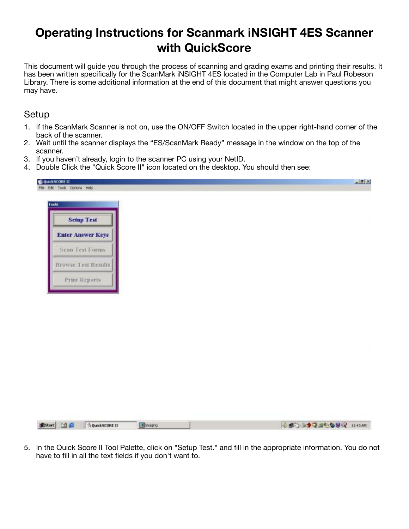# **Operating Instructions for Scanmark iNSIGHT 4ES Scanner with QuickScore**

This document will guide you through the process of scanning and grading exams and printing their results. It has been written specifically for the ScanMark iNSIGHT 4ES located in the Computer Lab in Paul Robeson Library. There is some additional information at the end of this document that might answer questions you may have.

#### Setup

- 1. If the ScanMark Scanner is not on, use the ON/OFF Switch located in the upper right-hand corner of the back of the scanner.
- 2. Wait until the scanner displays the "ES/ScanMark Ready" message in the window on the top of the scanner.
- 3. If you haven't already, login to the scanner PC using your NetID.
- 4. Double Click the "Quick Score II" icon located on the desktop. You should then see:

| Tools                      |  |  |  |
|----------------------------|--|--|--|
| <b>Setup Test</b>          |  |  |  |
| <b>Enter Answer Keys</b>   |  |  |  |
| Scan Test Forms            |  |  |  |
| <b>Browse Test Results</b> |  |  |  |
| <b>Print Reports</b>       |  |  |  |
|                            |  |  |  |
|                            |  |  |  |
|                            |  |  |  |
|                            |  |  |  |
|                            |  |  |  |
|                            |  |  |  |
|                            |  |  |  |
|                            |  |  |  |
|                            |  |  |  |
|                            |  |  |  |

5. In the Quick Score II Tool Palette, click on "Setup Test." and fill in the appropriate information. You do not have to fill in all the text fields if you don't want to.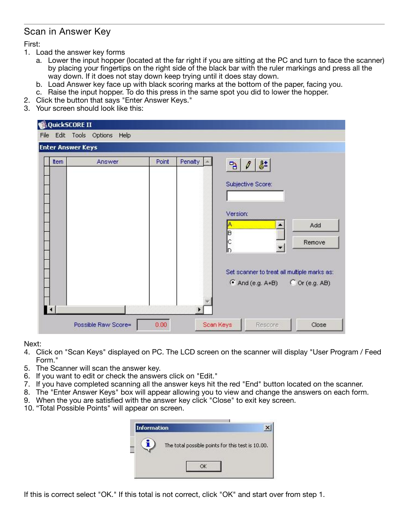# Scan in Answer Key

First:

- 1. Load the answer key forms
	- a. Lower the input hopper (located at the far right if you are sitting at the PC and turn to face the scanner) by placing your fingertips on the right side of the black bar with the ruler markings and press all the way down. If it does not stay down keep trying until it does stay down.
	- b. Load Answer key face up with black scoring marks at the bottom of the paper, facing you.
	- c. Raise the input hopper. To do this press in the same spot you did to lower the hopper.
- 2. Click the button that says "Enter Answer Keys."
- 3. Your screen should look like this:

| Item. | Answer | Point | Penalty | 0                                               |        |
|-------|--------|-------|---------|-------------------------------------------------|--------|
|       |        |       |         | 상<br>B                                          |        |
|       |        |       |         | Subjective Score:                               |        |
|       |        |       |         |                                                 |        |
|       |        |       |         |                                                 |        |
|       |        |       |         | Version:                                        |        |
|       |        |       |         |                                                 | Add    |
|       |        |       |         | B                                               |        |
|       |        |       |         | Ç<br>ID.                                        | Remove |
|       |        |       |         |                                                 |        |
|       |        |       |         | Set scanner to treat all multiple marks as:     |        |
|       |        |       |         | $\bullet$ And (e.g. A+B) $\bullet$ Or (e.g. AB) |        |
|       |        |       |         |                                                 |        |

Next:

- 4. Click on "Scan Keys" displayed on PC. The LCD screen on the scanner will display "User Program / Feed Form."
- 5. The Scanner will scan the answer key.
- 6. If you want to edit or check the answers click on "Edit."
- 7. If you have completed scanning all the answer keys hit the red "End" button located on the scanner.
- 8. The "Enter Answer Keys" box will appear allowing you to view and change the answers on each form.
- 9. When the you are satisfied with the answer key click "Close" to exit key screen.
- 10. "Total Possible Points" will appear on screen.

| Information |                                                   |  |
|-------------|---------------------------------------------------|--|
|             | The total possible points for this test is 10.00. |  |
|             |                                                   |  |

If this is correct select "OK." If this total is not correct, click "OK" and start over from step 1.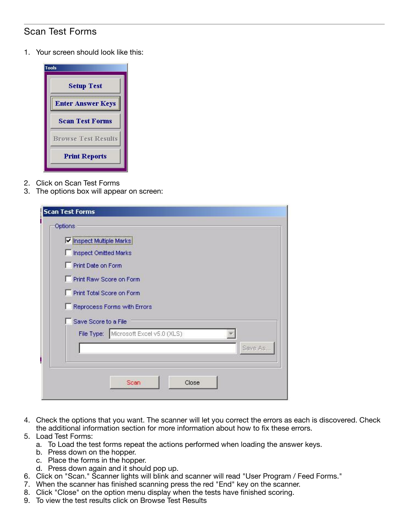# Scan Test Forms

1. Your screen should look like this:



- 2. Click on Scan Test Forms
- 3. The options box will appear on screen:

| Iv Inspect Multiple Marks    |                                       |         |
|------------------------------|---------------------------------------|---------|
| <b>Inspect Omitted Marks</b> |                                       |         |
| Print Date on Form           |                                       |         |
| Print Raw Score on Form      |                                       |         |
| Print Total Score on Form    |                                       |         |
|                              | Reprocess Forms with Errors           |         |
| Save Score to a File         |                                       |         |
|                              | File Type: Microsoft Excel v5.0 (XLS) |         |
|                              |                                       | Save As |
|                              |                                       |         |

- 4. Check the options that you want. The scanner will let you correct the errors as each is discovered. Check the additional information section for more information about how to fix these errors.
- 5. Load Test Forms:
	- a. To Load the test forms repeat the actions performed when loading the answer keys.
	- b. Press down on the hopper.
	- c. Place the forms in the hopper.
	- d. Press down again and it should pop up.
- 6. Click on "Scan." Scanner lights will blink and scanner will read "User Program / Feed Forms."
- 7. When the scanner has finished scanning press the red "End" key on the scanner.
- 8. Click "Close" on the option menu display when the tests have finished scoring.
- 9. To view the test results click on Browse Test Results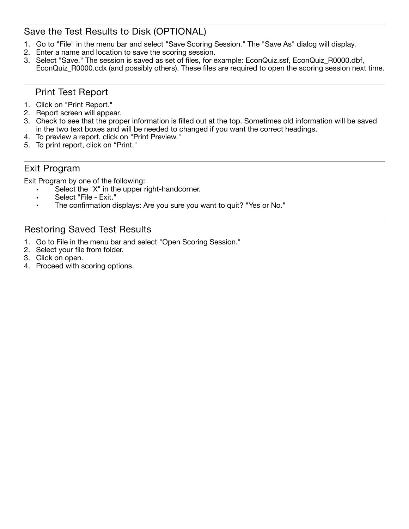# Save the Test Results to Disk (OPTIONAL)

- 1. Go to "File" in the menu bar and select "Save Scoring Session." The "Save As" dialog will display.
- 2. Enter a name and location to save the scoring session.
- 3. Select "Save." The session is saved as set of files, for example: EconQuiz.ssf, EconQuiz\_R0000.dbf, EconQuiz\_R0000.cdx (and possibly others). These files are required to open the scoring session next time.

### Print Test Report

- 1. Click on "Print Report."
- 2. Report screen will appear.
- 3. Check to see that the proper information is filled out at the top. Sometimes old information will be saved in the two text boxes and will be needed to changed if you want the correct headings.
- 4. To preview a report, click on "Print Preview."
- 5. To print report, click on "Print."

### Exit Program

Exit Program by one of the following:

- Select the "X" in the upper right-handcorner.
- Select "File Exit."
- The confirmation displays: Are you sure you want to quit? "Yes or No."

# Restoring Saved Test Results

- 1. Go to File in the menu bar and select "Open Scoring Session."
- 2. Select your file from folder.
- 3. Click on open.
- 4. Proceed with scoring options.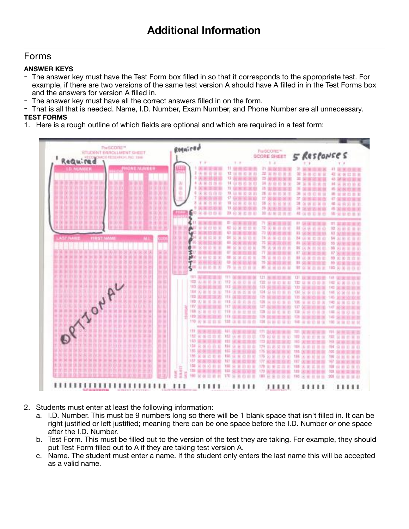#### Forms

#### **ANSWER KEYS**

- The answer key must have the Test Form box filled in so that it corresponds to the appropriate test. For example, if there are two versions of the same test version A should have A filled in in the Test Forms box and the answers for version A filled in.
- The answer key must have all the correct answers filled in on the form.<br>- That is all that is needed. Name, LD. Number, Exam Number, and Phon
- That is all that is needed. Name, I.D. Number, Exam Number, and Phone Number are all unnecessary. **TEST FORMS**
- 1. Here is a rough outline of which fields are optional and which are required in a test form:



- 2. Students must enter at least the following information:
	- a. I.D. Number. This must be 9 numbers long so there will be 1 blank space that isn't filled in. It can be right justified or left justified; meaning there can be one space before the I.D. Number or one space after the I.D. Number.
	- b. Test Form. This must be filled out to the version of the test they are taking. For example, they should put Test Form filled out to A if they are taking test version A.
	- c. Name. The student must enter a name. If the student only enters the last name this will be accepted as a valid name.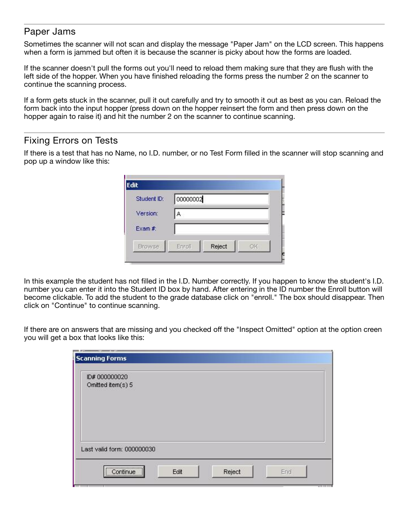#### Paper Jams

Sometimes the scanner will not scan and display the message "Paper Jam" on the LCD screen. This happens when a form is jammed but often it is because the scanner is picky about how the forms are loaded.

If the scanner doesn't pull the forms out you'll need to reload them making sure that they are flush with the left side of the hopper. When you have finished reloading the forms press the number 2 on the scanner to continue the scanning process.

If a form gets stuck in the scanner, pull it out carefully and try to smooth it out as best as you can. Reload the form back into the input hopper (press down on the hopper reinsert the form and then press down on the hopper again to raise it) and hit the number 2 on the scanner to continue scanning.

# Fixing Errors on Tests

If there is a test that has no Name, no I.D. number, or no Test Form filled in the scanner will stop scanning and pop up a window like this:

| Student ID:   | 00000002                      |
|---------------|-------------------------------|
| Version:      | д                             |
| Exam $#$      |                               |
| <b>Browse</b> | Reject<br>Enroll<br><b>OK</b> |

In this example the student has not filled in the I.D. Number correctly. If you happen to know the student's I.D. number you can enter it into the Student ID box by hand. After entering in the ID number the Enroll button will become clickable. To add the student to the grade database click on "enroll." The box should disappear. Then click on "Continue" to continue scanning.

If there are on answers that are missing and you checked off the "Inspect Omitted" option at the option creen you will get a box that looks like this:

| ID# 000000020<br>Omitted item(s) 5 |  |  |  |
|------------------------------------|--|--|--|
|                                    |  |  |  |
|                                    |  |  |  |